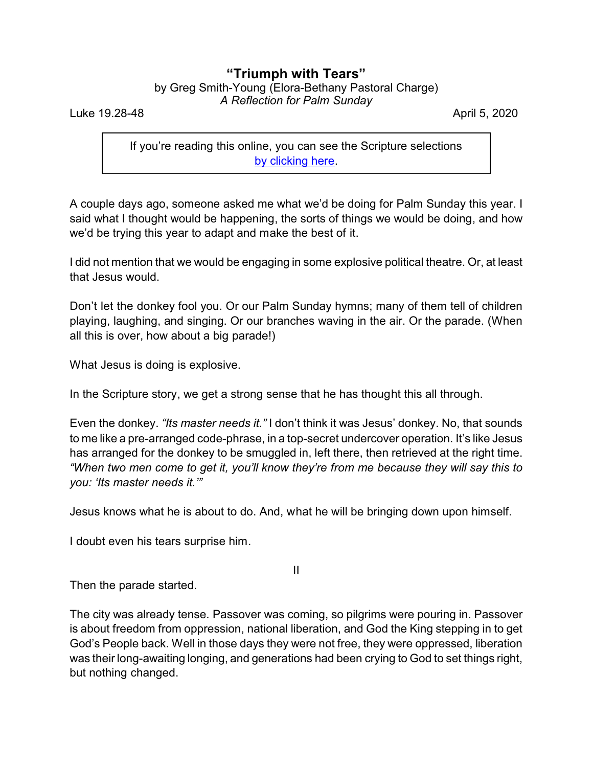## **"Triumph with Tears"**

| by Greg Smith-Young (Elora-Bethany Pastoral Charge) |                              |  |
|-----------------------------------------------------|------------------------------|--|
|                                                     | A Reflection for Palm Sunday |  |

Luke 19.28-48 April 5, 2020

If you're reading this online, you can see the Scripture selections [by clicking here](https://www.biblegateway.com/passage/?search=Luke+19.28-48&version=CEB).

A couple days ago, someone asked me what we'd be doing for Palm Sunday this year. I said what I thought would be happening, the sorts of things we would be doing, and how we'd be trying this year to adapt and make the best of it.

I did not mention that we would be engaging in some explosive political theatre. Or, at least that Jesus would.

Don't let the donkey fool you. Or our Palm Sunday hymns; many of them tell of children playing, laughing, and singing. Or our branches waving in the air. Or the parade. (When all this is over, how about a big parade!)

What Jesus is doing is explosive.

In the Scripture story, we get a strong sense that he has thought this all through.

Even the donkey. *"Its master needs it."* I don't think it was Jesus' donkey. No, that sounds to me like a pre-arranged code-phrase, in a top-secret undercover operation. It's like Jesus has arranged for the donkey to be smuggled in, left there, then retrieved at the right time. *"When two men come to get it, you'll know they're from me because they will say this to you: 'Its master needs it.'"*

Jesus knows what he is about to do. And, what he will be bringing down upon himself.

I doubt even his tears surprise him.

II

Then the parade started.

The city was already tense. Passover was coming, so pilgrims were pouring in. Passover is about freedom from oppression, national liberation, and God the King stepping in to get God's People back. Well in those days they were not free, they were oppressed, liberation was their long-awaiting longing, and generations had been crying to God to set things right, but nothing changed.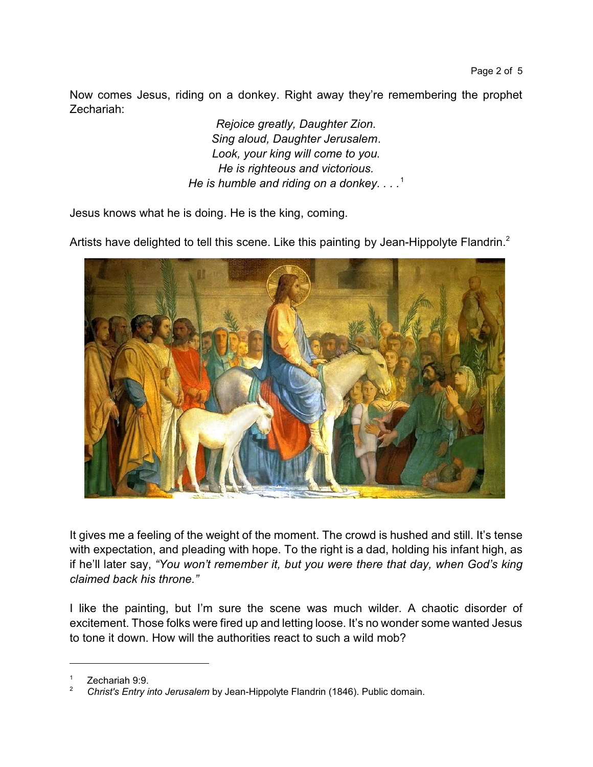Now comes Jesus, riding on a donkey. Right away they're remembering the prophet Zechariah:

> *Rejoice greatly, Daughter Zion. Sing aloud, Daughter Jerusalem. Look, your king will come to you. He is righteous and victorious. He is humble and riding on a donkey. . . .*<sup>1</sup>

Jesus knows what he is doing. He is the king, coming.



Artists have delighted to tell this scene. Like this painting by Jean-Hippolyte Flandrin.<sup>2</sup>

It gives me a feeling of the weight of the moment. The crowd is hushed and still. It's tense with expectation, and pleading with hope. To the right is a dad, holding his infant high, as if he'll later say, *"You won't remember it, but you were there that day, when God's king claimed back his throne."*

I like the painting, but I'm sure the scene was much wilder. A chaotic disorder of excitement. Those folks were fired up and letting loose. It's no wonder some wanted Jesus to tone it down. How will the authorities react to such a wild mob?

Zechariah 9:9.

<sup>2</sup> *Christ's Entry into Jerusalem* by Jean-Hippolyte Flandrin (1846). Public domain.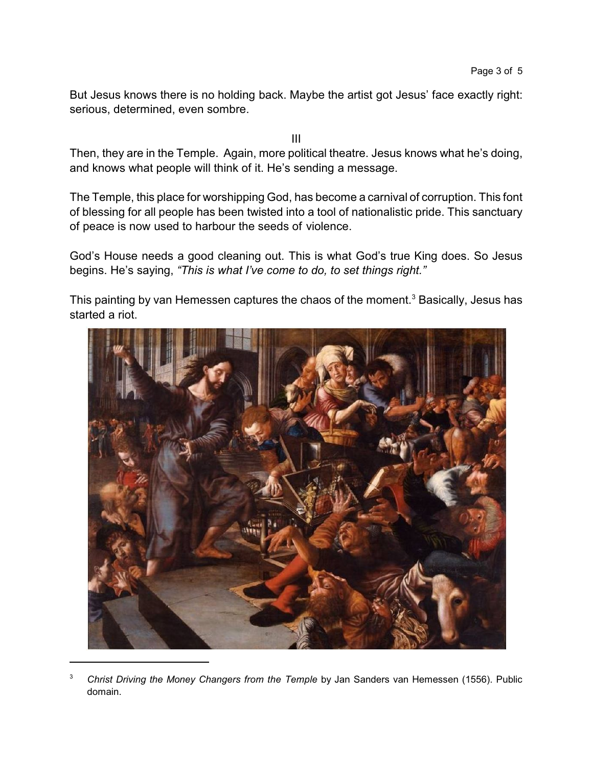But Jesus knows there is no holding back. Maybe the artist got Jesus' face exactly right: serious, determined, even sombre.

III

Then, they are in the Temple. Again, more political theatre. Jesus knows what he's doing, and knows what people will think of it. He's sending a message.

The Temple, this place for worshipping God, has become a carnival of corruption. This font of blessing for all people has been twisted into a tool of nationalistic pride. This sanctuary of peace is now used to harbour the seeds of violence.

God's House needs a good cleaning out. This is what God's true King does. So Jesus begins. He's saying, *"This is what I've come to do, to set things right."*

This painting by van Hemessen captures the chaos of the moment.<sup>3</sup> Basically, Jesus has started a riot.



<sup>3</sup> *Christ Driving the Money Changers from the Temple* by Jan Sanders van Hemessen (1556). Public domain.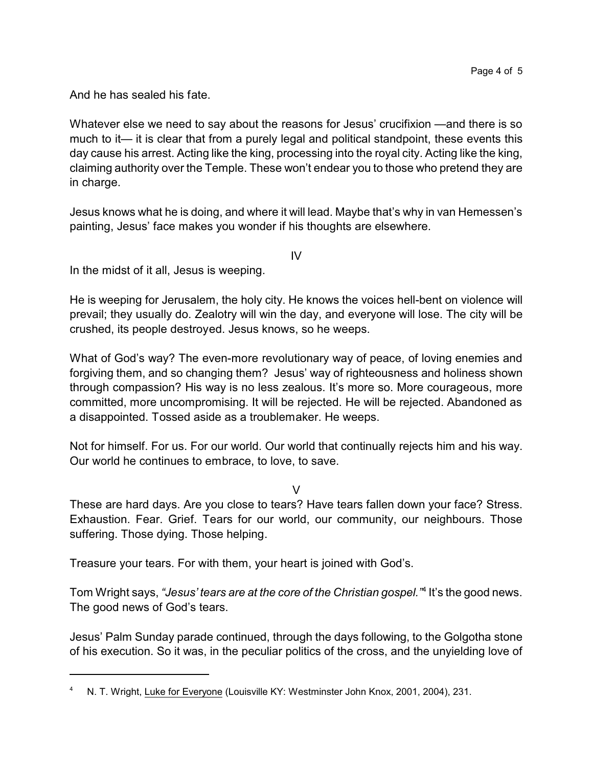And he has sealed his fate.

Whatever else we need to say about the reasons for Jesus' crucifixion —and there is so much to it— it is clear that from a purely legal and political standpoint, these events this day cause his arrest. Acting like the king, processing into the royal city. Acting like the king, claiming authority over the Temple. These won't endear you to those who pretend they are in charge.

Jesus knows what he is doing, and where it will lead. Maybe that's why in van Hemessen's painting, Jesus' face makes you wonder if his thoughts are elsewhere.

IV

In the midst of it all, Jesus is weeping.

He is weeping for Jerusalem, the holy city. He knows the voices hell-bent on violence will prevail; they usually do. Zealotry will win the day, and everyone will lose. The city will be crushed, its people destroyed. Jesus knows, so he weeps.

What of God's way? The even-more revolutionary way of peace, of loving enemies and forgiving them, and so changing them? Jesus' way of righteousness and holiness shown through compassion? His way is no less zealous. It's more so. More courageous, more committed, more uncompromising. It will be rejected. He will be rejected. Abandoned as a disappointed. Tossed aside as a troublemaker. He weeps.

Not for himself. For us. For our world. Our world that continually rejects him and his way. Our world he continues to embrace, to love, to save.

 $\overline{V}$ 

These are hard days. Are you close to tears? Have tears fallen down your face? Stress. Exhaustion. Fear. Grief. Tears for our world, our community, our neighbours. Those suffering. Those dying. Those helping.

Treasure your tears. For with them, your heart is joined with God's.

Tom Wright says, *"Jesus' tears are at the core of the Christian gospel."*<sup>4</sup> It's the good news. The good news of God's tears.

Jesus' Palm Sunday parade continued, through the days following, to the Golgotha stone of his execution. So it was, in the peculiar politics of the cross, and the unyielding love of

<sup>4</sup> N. T. Wright, Luke for Everyone (Louisville KY: Westminster John Knox, 2001, 2004), 231.